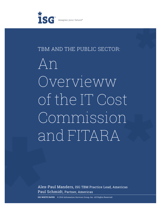

# TBM AND THE PUBLIC SECTOR:

An Overvieww of the IT Cost Commission and FITARA

Alex-Paul Manders, ISG TBM Practice Lead, Americas Paul Schmidt, Partner, Americas

 $\odot$  2016 Information Services Group, Inc. All Rights Reserved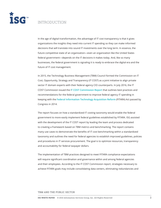

# INTRODUCTION

In the age of digital transformation, the advantage of IT cost transparency is that it gives organizations the insights they need into current IT spending so they can make informed decisions that will translate into sound IT investments over the long term. In essence, the future competitive state of an organization—even an organization like the United States federal government—depends on the IT decisions it makes today. And, like so many businesses, the federal government is signaling it is ready to embrace the digital era and the future of IT cost management.

In 2015, the Technology Business Management (TBM) Council formed the Commission on IT Cost, Opportunity, Strategy and Transparency (IT COST) as a joint initiative to align private sector IT domain experts with their federal agency CIO counterparts. In July 2016, the IT COST Commission issued the I**[T COST Commission Report](http://tbmcouncil.org/get-involved/it-cost-commission.html)** that outlines best practices and recommendations for the federal government to improve federal agency IT spending in keeping with the **[Federal Information Technology Acquisition Reform](https://management.cio.gov/)** (FITARA) Act passed by Congress in 2014.

The report focuses on how a standardized IT costing taxonomy would enable the federal government to more easily implement federal guidelines established by FITARA. ISG assisted with the development of the IT COST report by leading the team and process dedicated to creating a framework based on TBM metrics and benchmarking. The report contains many use cases to demonstrate the benefits of IT cost benchmarking within a standardized taxonomy and outlines the need for federal agencies to establish improved guidelines, policies and procedures in IT services procurement. The goal is to optimize resources, transparency and accountability for federal taxpayer dollars.

The implementation of TBM practices designed to meet FITARA compliance expectations will require significant coordination and governance within and among federal agencies and their employees. According to the IT COST Commission report, strategies necessary to achieve FITARA goals may include consolidating data centers, eliminating redundancies and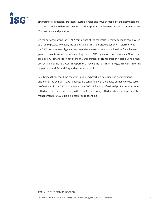

embracing "IT strategies, processes, systems, roles and ways of making technology decisions that impact stakeholders well beyond IT." This approach will free resources to commit to new IT investments and practices.

On the surface, solving for FITARA compliance at the federal level may appear as complicated as a jigsaw puzzle. However, the application of a standardized taxonomy—referred to as the TBM taxonomy—will give federal agencies a starting point and a baseline for achieving greater IT cost transparency and meeting their FITARA regulations and mandates. Now is the time; as CIO Richard McKinney of the U.S. Department of Transportation noted during a final presentation of the TBM Council report, this may be the "last chance to get this right" in terms of getting overall federal IT spending under control.

Key themes throughout the report include benchmarking, sourcing and organizational alignment. The overall IT COST findings are consistent with the advice of many private sector professionals in the TBM space. More than 7,000 LinkedIn professional profiles now include a TBM reference, and according to the TBM Council, today's TBM practitioners represent the management of \$650 Billion in enterprise IT spending.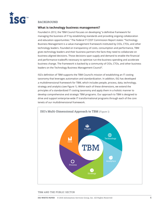

### **BACKGROUND**

#### **What is technology business management?**

Founded in 2012, the TBM Council focuses on developing "a definitive framework for managing the business of IT by establishing standards and providing ongoing collaboration and education opportunities." The Federal IT COST Commission Report states: "Technology Business Management is a value-management framework instituted by CIOs, CTOs, and other technology leaders. Founded on transparency of costs, consumption and performance, TBM gives technology leaders and their business partners the facts they need to collaborate on business-aligned decisions. Those decisions span supply and demand to enable the financial and performance tradeoffs necessary to optimize run-the-business spending and accelerate business change. The framework is backed by a community of CIOs, CTOs, and other business leaders on the Technology Business Management Council".

ISG's definition of TBM supports the TBM Council's mission of establishing an IT costing taxonomy that leverages automation and standardization. In addition, ISG has developed a multidimensional framework for TBM, which includes people, process, data, technology, strategy and analytics (see Figure 1). Within each of these dimensions, we extend the principles of a standardized IT costing taxonomy and apply them in a holistic manner to develop comprehensive and strategic TBM programs. Our approach to TBM is designed to drive and support enterprise-wide IT transformational programs through each of the core tenets of our multidimensional framework.

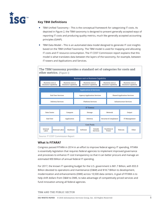

# **Key TBM Definitions**

- TBM Unified Taxonomy This is the conceptual framework for categorizing IT costs. As depicted in Figure 2, the TBM taxonomy is designed to present generally accepted ways of reporting IT costs and producing quality metrics, much like generally accepted accounting principles (GAAP).
- TBM Data Model This is an automated data model designed to generate IT cost insights based on the TBM Unified Taxonomy. The TBM model is used for mapping and allocating IT costs and IT resource consumption. The IT COST Commission report explains that this model is what translates data between the layers of the taxonomy, for example, between IT towers and Applications and Services.

**The TBM taxonomy provides a standard set of categories for costs and other metrics.** (Figure 1)



### **What Is FITARA?**

Congress passed FITARA in 2014 in an effort to improve federal agency IT spending. FITARA is essentially legislation that requires federal agencies to implement improved governance and processes to enhance IT cost transparency so that it can better procure and manage an estimated \$90 Billion of annual federal IT spending.

For 2017, the known IT spending budget for the U.S. government is \$81.7 Billion, with \$55.9 Billion devoted to operations and maintenance (O&M) and \$18.7 Billion to development, modernization and enhancements (DME) across 10,500 data centers. A goal of FITARA is to help shift dollars from O&M to DME, to take advantage of competitively priced services and fund innovation among all federal agencies.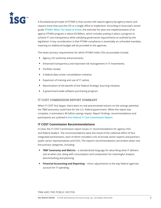

A foundational principle of FITARA is that success will require agency-by-agency teams and require more than just the CIO or a single office to implement. According to GovLoop's recent guide **[FITARA: What You Need to Know](http://direct.govloop.com/fitara-guide)**, the estimate for year-one implementation of an agency FITARA program is about \$3 Million, which includes putting in place a program to achieve IT cost transparency while satisfying governance requirements as outlined by the legislation. A key consideration is that FITARA compliance is essentially an unfunded mandate, meaning no additional budget will be provided to the agencies.

The seven primary requirements for which FITARA holds CIOs accountable include:

- Agency CIO authority enhancements;
- Enhanced transparency and improved risk management in IT investments;
- Portfolio review;
- A federal data center consolidation initiative;
- Expansion of training and use of IT cadres;
- Maximization of the benefit of the Federal Strategic Sourcing initiative;
- A government-wide software purchasing program.

#### **IT COST COMMISSION REPORT SUMMARY**

When IT COST first began, there were no real preconceived notions on the savings potential the TBM taxonomy could have for the U.S. federal government. When the report was complete, it estimated a \$6 billion savings impact. Report findings, recommendations and participants are outlined in **[the Federal IT Cost Commission Report](http://tbmcouncil.org/get-involved/it-cost-commission)**.

#### **IT COST Commission Recommendations**

In total, the IT COST Commission report issues 21 recommendations for agency CIOs and federal leaders. The recommendations were the result of the collective effort of four integrated workstreams, each of which included a mix of private sector experts and partners, public sector representatives and CIOs. The report's recommendations are broken down into five primary categories, including:

- **TBM Taxonomy and Metrics** a standardized language for describing what IT delivers and at what cost, along with consumption and composition for meaningful analysis, benchmarking and planning;
- **Financial Accounting and Reporting**  minor adjustments to the way federal agencies account for IT spending;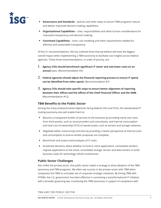

- **Governance and Standards** policies and other steps to ensure TBM programs mature and deliver improved decision-making capabilities;
- **Organizational Capabilities** roles, responsibilities and other human considerations for improved transparency and decision-making;
- **Functional Capabilities** tools, cost modeling and other requirements needed for effective and sustainable transparency.

Of the 21 recommendations, ISG has outlined three that we believe will have the biggest overall impact when implementing a TBM taxonomy to facilitate cost insights across federal agencies. These three recommendations, in order of priority, are:

- **1. Agency CIOs should benchmark significant IT tower and sub-tower costs on an annual** basis. (Recommendation #3)
- **2. Federal agencies should adjust the financial reporting process to ensure IT spend can be identified from other spend.** (Recommendation #7)
- **3. Agency CIOs should take specific steps to ensure better alignment of reporting between their offices and the offices of the Chief Financial Officer and the OMB.** (Recommendation #12)

### **TBM Benefits to the Public Sector**

Among the many enterprise-level objectives facing federal CIOs and CFOs, the standardized IT costing taxonomy also will enable them to:

- Become a transparent broker of services to the business by providing clarity into costs from third parties, such as cloud providers and consultants, and internal consumption and total cost of ownership (TCO) of owned assets, such as servers and storage networks;
- Negotiate better outsourcing contracts by providing a clearer perspective of internal costs and consumption to ensure vendor proposals are complete;
- Benchmark and assess trend analyses of IT costs;
- Accelerate decisions about whether to fund or retire applications, consolidate vendors, migrate applications to the cloud, consolidate storage, servers and data centers or build business cases for technology refresh investments.

### **Public Sector Challenges**

Not unlike the private sector, the public sector needs a strategy to drive adoption of the TBM taxonomy and TBM programs. We often see success in the private sector with TBM when companies link TBM to a broader set of corporate strategic initiatives. By linking TBM with FITARA, the U.S. government has been effective in connecting a transformational IT initiative with a broader governing law. Combining the TBM taxonomy in support of compliance with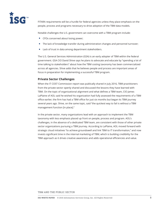

FITARA requirements will be a hurdle for federal agencies unless they place emphasis on the people, process and programs necessary to drive adoption of the TBM data models.

Notable challenges the U.S. government can overcome with a TBM program include:

- CFOs concerned about losing power;
- The lack of knowledge transfer during administration changes and personnel turnover;
- Lack of trust in data among department stakeholders.

The U.S. General Services Administration (GSA) is an early adopter of TBM within the federal government. GSA CIO David Shive says he plans to advocate and educate by "spending a lot of time talking to stakeholders" about how the TBM costing taxonomy has been commercialized across all agencies. Shive adds that he believes people and process are important areas of focus in preparation for implementing a successful TBM program.

### **Private Sector Challenges**

When the IT COST Commission report was publically shared in July 2016, TBM practitioners from the private sector openly shared and discussed the lessons they have learned with TBM. On the topic of organizational alignment and what defines a TBM team, CIO James LaPlaine of AOL said he wished his organization had fully assessed the requirements of a TBM office earlier; the firm has had a TBM office for just six months but began its TBM journey several years ago. Shive, on the same topic, said "the quickest way to fail is without a TBM management function [in place]."

In the private sector, many organizations lead with an approach to implement the TBM taxonomy with less emphasis placed up front on people, process and program. AOL's challenges, in the absence of a dedicated TBM team, are consistent with those of other private sector organizations pursuing a TBM journey. According to LaPlaine, AOL moved forward with strategic cloud initiatives "to achieve groundswell and link TBM to IT transformation," and now invests significant time in the internal marketing of TBM, which is building credibility for the TBM approach as it drives creative awareness and adds operational efficiencies and value.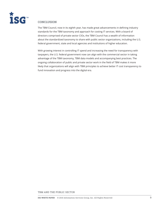

# **CONCLUSION**

The TBM Council, now in its eighth year, has made great advancements in defining industry standards for the TBM taxonomy and approach for costing IT services. With a board of directors comprised of private sector CIOs, the TBM Council has a wealth of information about the standardized taxonomy to share with public sector organizations, including the U.S. federal government, state and local agencies and institutions of higher education.

With growing interest in controlling IT spend and increasing the need for transparency with taxpayers, the U.S. federal government now can align with the commercial sector in taking advantage of the TBM taxonomy, TBM data models and accompanying best practices. The ongoing collaboration of public and private sector work in the field of TBM makes it more likely that organizations will align with TBM principles to achieve better IT cost transparency to fund innovation and progress into the digital era.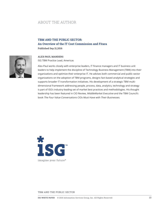# ABOUT THE AUTHOR

# **TBM AND THE PUBLIC SECTOR: An Overview of the IT Cost Commission and Fitara Published Sep 21,2016**



**ALEX-PAUL MANDERS** ISG TBM Practice Lead, Americas

Alex-Paul works closely with enterprise leaders, IT finance managers and IT business unit leaders to help implement the discipline of Technology Business Management (TBM) into their organizations and optimize their enterprise IT. He advises both commercial and public sector organizations on the adoption of TBM programs, designs fact-based analytical strategies and supports broader IT transformation initiatives. His development of a strategic TBM multidimensional framework addressing people, process, data, analytics, technology and strategy is part of ISG's industry-leading set of market best practices and methodologies. His thought leadership has been featured in CIO Review, MiddleMarket Executive and the TBM Council's book The Four Value Conversations CIOs Must Have with Their Businesses.

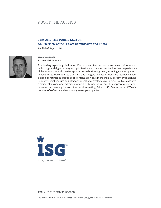# ABOUT THE AUTHOR

# **TBM AND THE PUBLIC SECTOR: An Overview of the IT Cost Commission and Fitara**

**Published Sep 21,2016**



#### **PAUL SCHMIDT**

Partner, ISG Americas

As a leading expert in globalization, Paul advises clients across industries on information technology and digital strategies, optimization and outsourcing. He has deep experience in global operations and creative approaches to business growth, including captive operations, joint ventures, build-operate-transfers, and mergers and acquisitions. He recently helped a global consumer packaged goods organization save more than 40 percent by realigning its captive, joint venture and offshore operational strategies worldwide. Paul also assisted a major retail company redesign its global customer digital model to improve quality and increase transparency for executive decision-making. Prior to ISG, Paul served as CEO of a number of software and technology start-up companies.